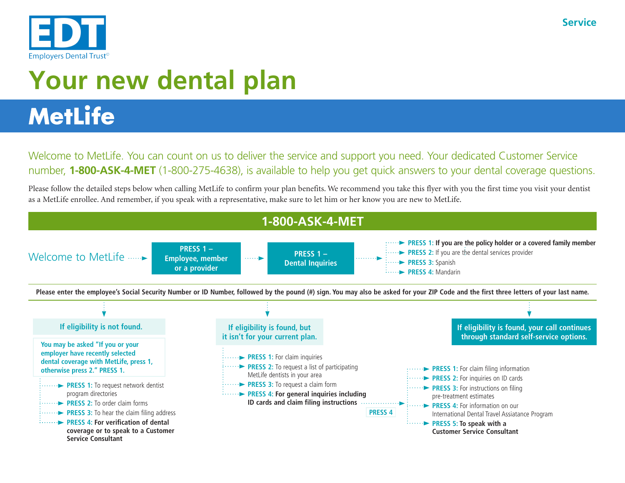

## **MetLife**

Welcome to MetLife. You can count on us to deliver the service and support you need. Your dedicated Customer Service number, **1-800-ASK-4-MET** (1-800-275-4638), is available to help you get quick answers to your dental coverage questions.

Please follow the detailed steps below when calling MetLife to confirm your plan benefits. We recommend you take this flyer with you the first time you visit your dentist as a MetLife enrollee. And remember, if you speak with a representative, make sure to let him or her know you are new to MetLife.